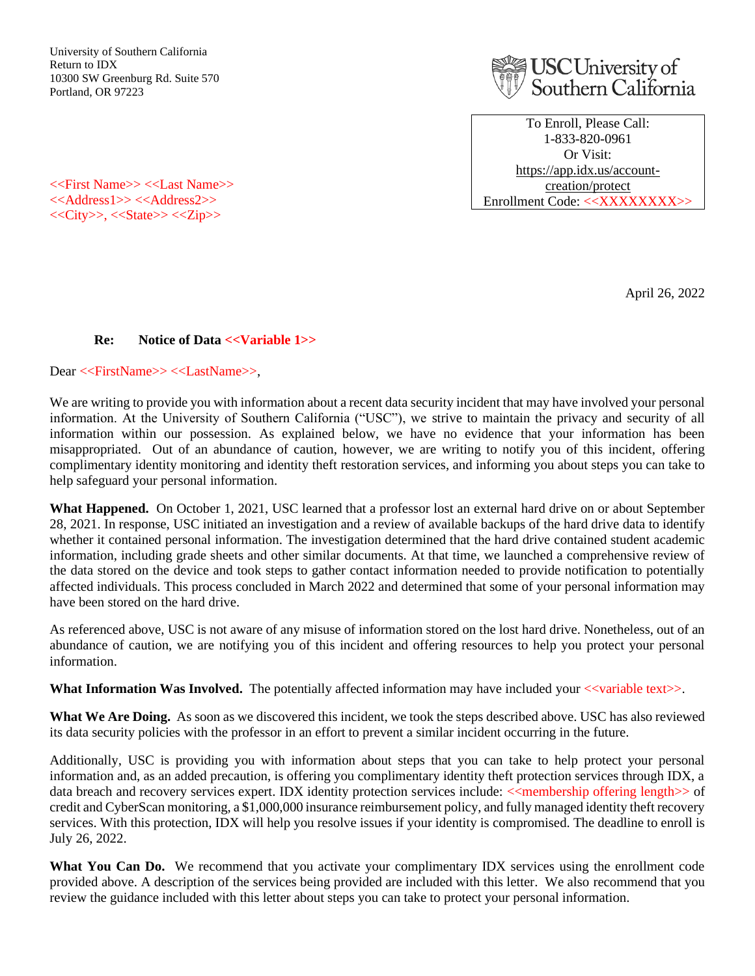University of Southern California Return to IDX 10300 SW Greenburg Rd. Suite 570 Portland, OR 97223



To Enroll, Please Call: 1-833-820-0961 Or Visit: [https://app.idx.us/account](https://app.idx.us/account-creation/protect)[creation/protect](https://app.idx.us/account-creation/protect) Enrollment Code: <<XXXXXXXX>>

<<First Name>> <<Last Name>> <<Address1>> <<Address2>> <<City>>, <<State>> <<Zip>>

April 26, 2022

## **Re:** Notice of Data <<Variable 1>>

Dear <<FirstName>> <<LastName>>,

We are writing to provide you with information about a recent data security incident that may have involved your personal information. At the University of Southern California ("USC"), we strive to maintain the privacy and security of all information within our possession. As explained below, we have no evidence that your information has been misappropriated. Out of an abundance of caution, however, we are writing to notify you of this incident, offering complimentary identity monitoring and identity theft restoration services, and informing you about steps you can take to help safeguard your personal information.

**What Happened.** On October 1, 2021, USC learned that a professor lost an external hard drive on or about September 28, 2021. In response, USC initiated an investigation and a review of available backups of the hard drive data to identify whether it contained personal information. The investigation determined that the hard drive contained student academic information, including grade sheets and other similar documents. At that time, we launched a comprehensive review of the data stored on the device and took steps to gather contact information needed to provide notification to potentially affected individuals. This process concluded in March 2022 and determined that some of your personal information may have been stored on the hard drive.

As referenced above, USC is not aware of any misuse of information stored on the lost hard drive. Nonetheless, out of an abundance of caution, we are notifying you of this incident and offering resources to help you protect your personal information.

**What Information Was Involved.** The potentially affected information may have included your  $\ll$  variable text $\gg$ .

**What We Are Doing.** As soon as we discovered this incident, we took the steps described above. USC has also reviewed its data security policies with the professor in an effort to prevent a similar incident occurring in the future.

Additionally, USC is providing you with information about steps that you can take to help protect your personal information and, as an added precaution, is offering you complimentary identity theft protection services through IDX, a data breach and recovery services expert. IDX identity protection services include: <<membership offering length>> of credit and CyberScan monitoring, a \$1,000,000 insurance reimbursement policy, and fully managed identity theft recovery services. With this protection, IDX will help you resolve issues if your identity is compromised. The deadline to enroll is July 26, 2022.

What You Can Do. We recommend that you activate your complimentary IDX services using the enrollment code provided above. A description of the services being provided are included with this letter. We also recommend that you review the guidance included with this letter about steps you can take to protect your personal information.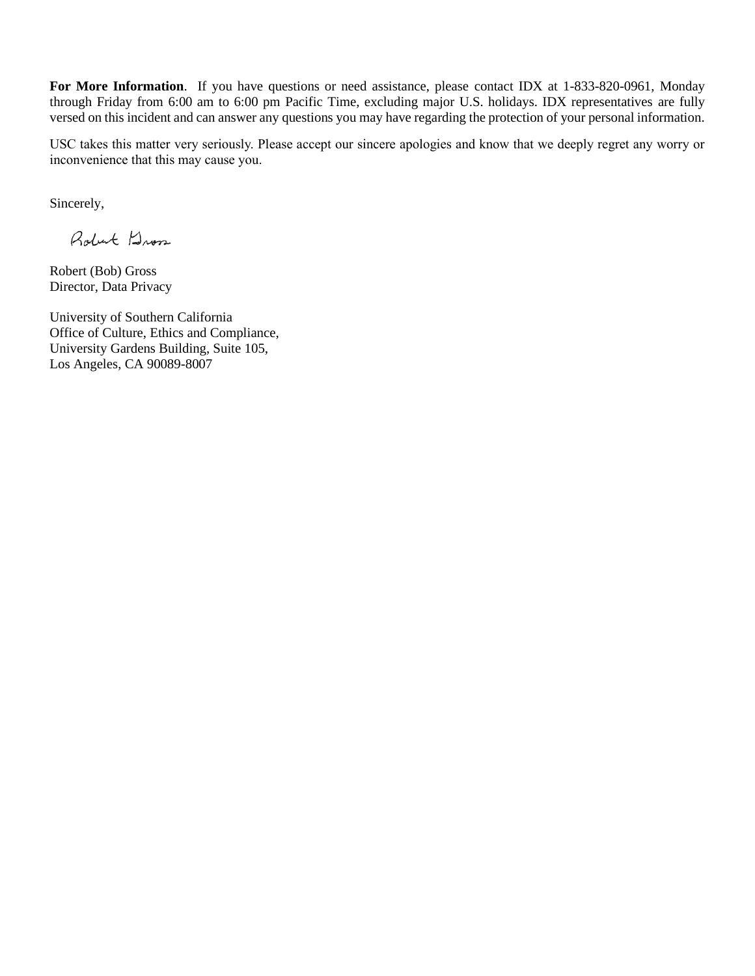**For More Information**. If you have questions or need assistance, please contact IDX at 1-833-820-0961, Monday through Friday from 6:00 am to 6:00 pm Pacific Time, excluding major U.S. holidays. IDX representatives are fully versed on this incident and can answer any questions you may have regarding the protection of your personal information.

USC takes this matter very seriously. Please accept our sincere apologies and know that we deeply regret any worry or inconvenience that this may cause you.

Sincerely,

Robert Dross

Robert (Bob) Gross Director, Data Privacy

University of Southern California Office of Culture, Ethics and Compliance, University Gardens Building, Suite 105, Los Angeles, CA 90089-8007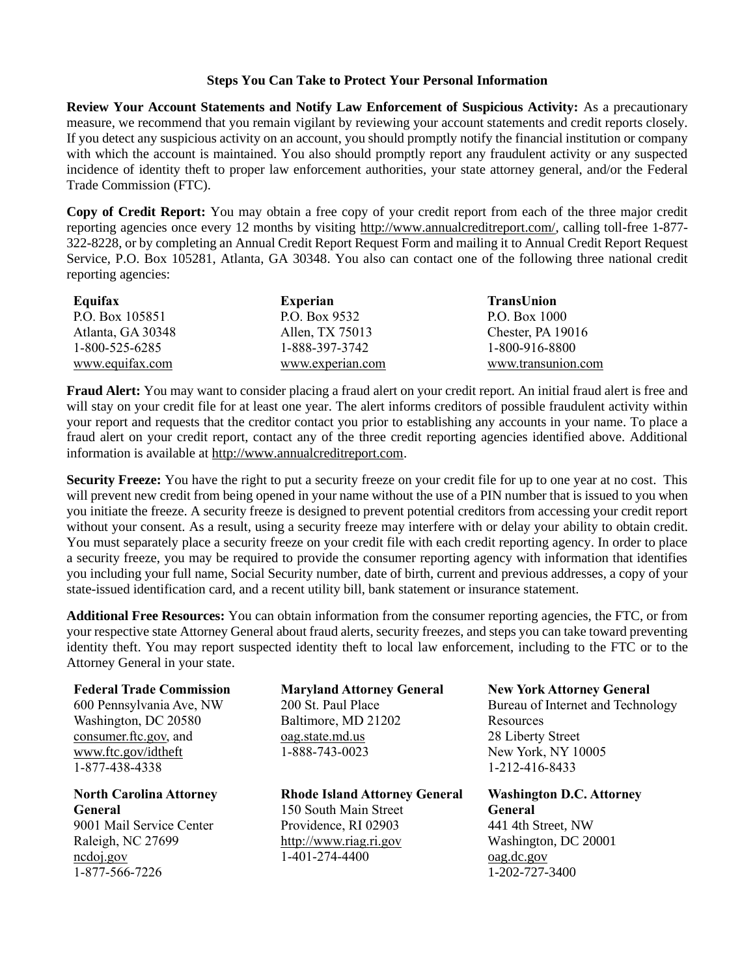## **Steps You Can Take to Protect Your Personal Information**

**Review Your Account Statements and Notify Law Enforcement of Suspicious Activity:** As a precautionary measure, we recommend that you remain vigilant by reviewing your account statements and credit reports closely. If you detect any suspicious activity on an account, you should promptly notify the financial institution or company with which the account is maintained. You also should promptly report any fraudulent activity or any suspected incidence of identity theft to proper law enforcement authorities, your state attorney general, and/or the Federal Trade Commission (FTC).

**Copy of Credit Report:** You may obtain a free copy of your credit report from each of the three major credit reporting agencies once every 12 months by visiting [http://www.annualcreditreport.com/,](http://www.annualcreditreport.com/) calling toll-free 1-877- 322-8228, or by completing an Annual Credit Report Request Form and mailing it to Annual Credit Report Request Service, P.O. Box 105281, Atlanta, GA 30348. You also can contact one of the following three national credit reporting agencies:

| Equifax           | <b>Experian</b>  | <b>TransUnion</b>  |
|-------------------|------------------|--------------------|
| P.O. Box 105851   | P.O. Box 9532    | P.O. Box 1000      |
| Atlanta, GA 30348 | Allen, TX 75013  | Chester, PA 19016  |
| 1-800-525-6285    | 1-888-397-3742   | 1-800-916-8800     |
| www.equifax.com   | www.experian.com | www.transunion.com |

**Fraud Alert:** You may want to consider placing a fraud alert on your credit report. An initial fraud alert is free and will stay on your credit file for at least one year. The alert informs creditors of possible fraudulent activity within your report and requests that the creditor contact you prior to establishing any accounts in your name. To place a fraud alert on your credit report, contact any of the three credit reporting agencies identified above. Additional information is available at [http://www.annualcreditreport.com.](http://www.annualcreditreport.com/)

**Security Freeze:** You have the right to put a security freeze on your credit file for up to one year at no cost. This will prevent new credit from being opened in your name without the use of a PIN number that is issued to you when you initiate the freeze. A security freeze is designed to prevent potential creditors from accessing your credit report without your consent. As a result, using a security freeze may interfere with or delay your ability to obtain credit. You must separately place a security freeze on your credit file with each credit reporting agency. In order to place a security freeze, you may be required to provide the consumer reporting agency with information that identifies you including your full name, Social Security number, date of birth, current and previous addresses, a copy of your state-issued identification card, and a recent utility bill, bank statement or insurance statement.

**Additional Free Resources:** You can obtain information from the consumer reporting agencies, the FTC, or from your respective state Attorney General about fraud alerts, security freezes, and steps you can take toward preventing identity theft. You may report suspected identity theft to local law enforcement, including to the FTC or to the Attorney General in your state.

## **Federal Trade Commission**

600 Pennsylvania Ave, NW Washington, DC 20580 consumer.ftc.gov, and www.ftc.gov/idtheft 1-877-438-4338

**North Carolina Attorney General** 9001 Mail Service Center Raleigh, NC 27699 ncdoj.gov 1-877-566-7226

**Maryland Attorney General** 200 St. Paul Place Baltimore, MD 21202 oag.state.md.us 1-888-743-0023

**Rhode Island Attorney General** 150 South Main Street Providence, RI 02903 http://www.riag.ri.gov 1-401-274-4400

**New York Attorney General** Bureau of Internet and Technology **Resources** 28 Liberty Street New York, NY 10005 1-212-416-8433

**Washington D.C. Attorney General** 441 4th Street, NW Washington, DC 20001 oag.dc.gov 1-202-727-3400